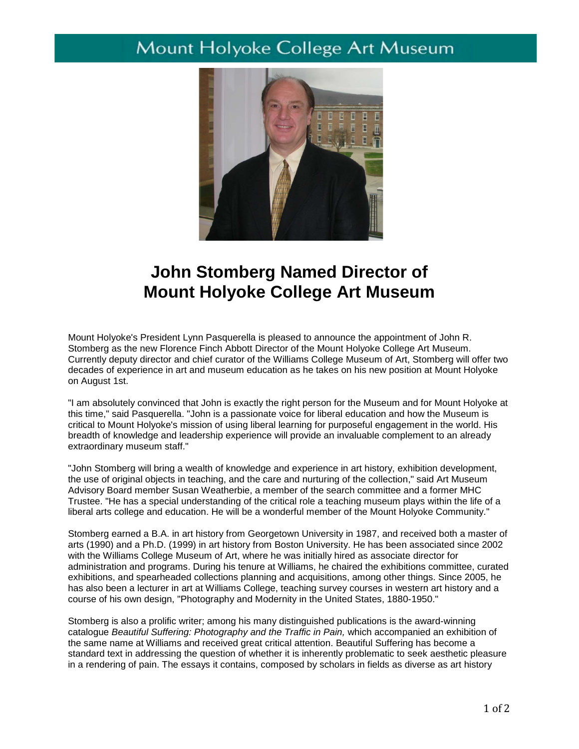## Mount Holyoke College Art Museum



## **John Stomberg Named Director of Mount Holyoke College Art Museum**

Mount Holyoke's President Lynn Pasquerella is pleased to announce the appointment of John R. Stomberg as the new Florence Finch Abbott Director of the Mount Holyoke College Art Museum. Currently deputy director and chief curator of the Williams College Museum of Art, Stomberg will offer two decades of experience in art and museum education as he takes on his new position at Mount Holyoke on August 1st.

"I am absolutely convinced that John is exactly the right person for the Museum and for Mount Holyoke at this time," said Pasquerella. "John is a passionate voice for liberal education and how the Museum is critical to Mount Holyoke's mission of using liberal learning for purposeful engagement in the world. His breadth of knowledge and leadership experience will provide an invaluable complement to an already extraordinary museum staff."

"John Stomberg will bring a wealth of knowledge and experience in art history, exhibition development, the use of original objects in teaching, and the care and nurturing of the collection," said Art Museum Advisory Board member Susan Weatherbie, a member of the search committee and a former MHC Trustee. "He has a special understanding of the critical role a teaching museum plays within the life of a liberal arts college and education. He will be a wonderful member of the Mount Holyoke Community."

Stomberg earned a B.A. in art history from Georgetown University in 1987, and received both a master of arts (1990) and a Ph.D. (1999) in art history from Boston University. He has been associated since 2002 with the Williams College Museum of Art, where he was initially hired as associate director for administration and programs. During his tenure at Williams, he chaired the exhibitions committee, curated exhibitions, and spearheaded collections planning and acquisitions, among other things. Since 2005, he has also been a lecturer in art at Williams College, teaching survey courses in western art history and a course of his own design, "Photography and Modernity in the United States, 1880-1950."

Stomberg is also a prolific writer; among his many distinguished publications is the award-winning catalogue *Beautiful Suffering: Photography and the Traffic in Pain,* which accompanied an exhibition of the same name at Williams and received great critical attention. Beautiful Suffering has become a standard text in addressing the question of whether it is inherently problematic to seek aesthetic pleasure in a rendering of pain. The essays it contains, composed by scholars in fields as diverse as art history